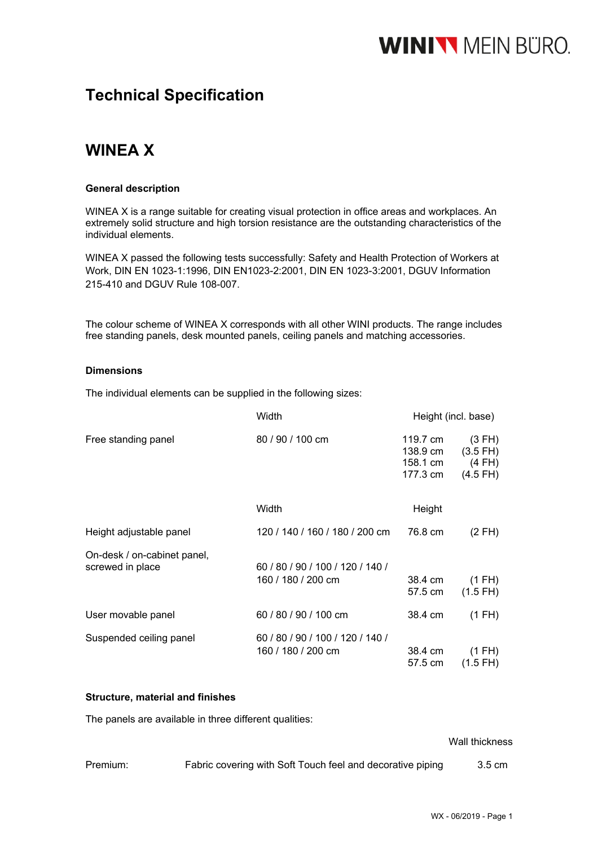## **WINIVY** MEIN BURO.

### **Technical Specification**

### **WINEA X**

### **General description**

WINEA X is a range suitable for creating visual protection in office areas and workplaces. An extremely solid structure and high torsion resistance are the outstanding characteristics of the individual elements.

WINEA X passed the following tests successfully: Safety and Health Protection of Workers at Work, DIN EN 1023-1:1996, DIN EN1023-2:2001, DIN EN 1023-3:2001, DGUV Information 215-410 and DGUV Rule 108-007.

The colour scheme of WINEA X corresponds with all other WINI products. The range includes free standing panels, desk mounted panels, ceiling panels and matching accessories.

### **Dimensions**

The individual elements can be supplied in the following sizes:

|                                                 | Width                                                  |                                              | Height (incl. base)                                     |
|-------------------------------------------------|--------------------------------------------------------|----------------------------------------------|---------------------------------------------------------|
| Free standing panel                             | 80 / 90 / 100 cm                                       | 119.7 cm<br>138.9 cm<br>158.1 cm<br>177.3 cm | (3 FH)<br>$(3.5$ FH $)$<br>$(4$ FH $)$<br>$(4.5$ FH $)$ |
|                                                 | Width                                                  | Height                                       |                                                         |
| Height adjustable panel                         | 120 / 140 / 160 / 180 / 200 cm                         | 76.8 cm                                      | (2 FH)                                                  |
| On-desk / on-cabinet panel,<br>screwed in place | 60 / 80 / 90 / 100 / 120 / 140 /<br>160 / 180 / 200 cm | 38.4 cm<br>57.5 cm                           | $(1$ FH $)$<br>$(1.5$ FH)                               |
| User movable panel                              | 60 / 80 / 90 / 100 cm                                  | 38.4 cm                                      | (1 FH)                                                  |
| Suspended ceiling panel                         | 60 / 80 / 90 / 100 / 120 / 140 /<br>160 / 180 / 200 cm | 38.4 cm<br>57.5 cm                           | (1 FH)<br>$(1.5$ FH)                                    |

### **Structure, material and finishes**

The panels are available in three different qualities:

### Wall thickness

| Premium: | Fabric covering with Soft Touch feel and decorative piping | 3.5 cm |
|----------|------------------------------------------------------------|--------|
|          |                                                            |        |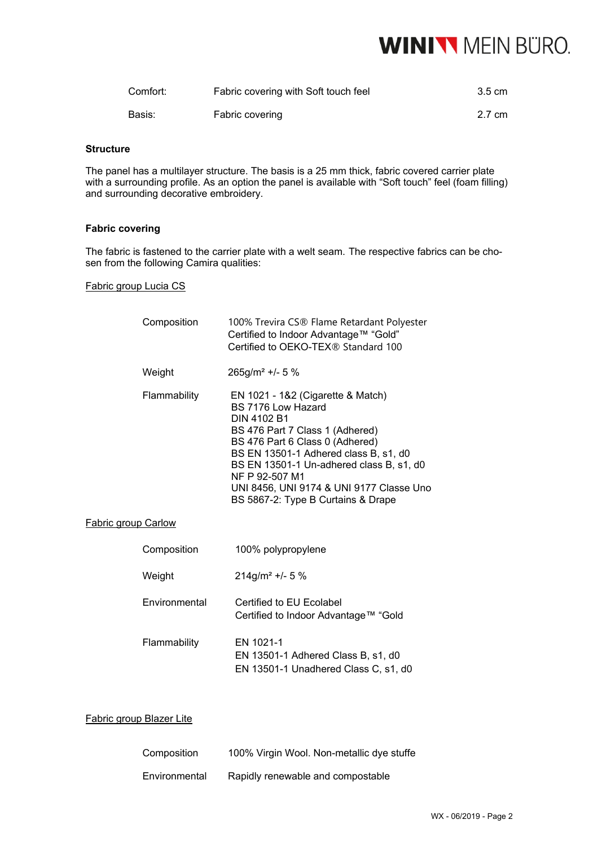## **WINIVY MEIN BÜRO.**

| Comfort: | Fabric covering with Soft touch feel | 3.5 cm |
|----------|--------------------------------------|--------|
| Basis:   | Fabric covering                      | 2.7 cm |

### **Structure**

The panel has a multilayer structure. The basis is a 25 mm thick, fabric covered carrier plate with a surrounding profile. As an option the panel is available with "Soft touch" feel (foam filling) and surrounding decorative embroidery.

### **Fabric covering**

The fabric is fastened to the carrier plate with a welt seam. The respective fabrics can be chosen from the following Camira qualities:

### Fabric group Lucia CS

|                            | Composition   | 100% Trevira CS® Flame Retardant Polyester<br>Certified to Indoor Advantage™ "Gold"<br>Certified to OEKO-TEX® Standard 100                                                                                                                                                                                                            |
|----------------------------|---------------|---------------------------------------------------------------------------------------------------------------------------------------------------------------------------------------------------------------------------------------------------------------------------------------------------------------------------------------|
|                            | Weight        | $265g/m^2$ +/- 5 %                                                                                                                                                                                                                                                                                                                    |
|                            | Flammability  | EN 1021 - 1&2 (Cigarette & Match)<br>BS 7176 Low Hazard<br>DIN 4102 B1<br>BS 476 Part 7 Class 1 (Adhered)<br>BS 476 Part 6 Class 0 (Adhered)<br>BS EN 13501-1 Adhered class B, s1, d0<br>BS EN 13501-1 Un-adhered class B, s1, d0<br>NF P 92-507 M1<br>UNI 8456, UNI 9174 & UNI 9177 Classe Uno<br>BS 5867-2: Type B Curtains & Drape |
| <b>Fabric group Carlow</b> |               |                                                                                                                                                                                                                                                                                                                                       |
|                            | Composition   | 100% polypropylene                                                                                                                                                                                                                                                                                                                    |
|                            | Weight        | $214g/m^2$ +/- 5 %                                                                                                                                                                                                                                                                                                                    |
|                            | Environmental | Certified to EU Ecolabel<br>Certified to Indoor Advantage™ "Gold                                                                                                                                                                                                                                                                      |
|                            | Flammability  | EN 1021-1<br>EN 13501-1 Adhered Class B, s1, d0<br>EN 13501-1 Unadhered Class C, s1, d0                                                                                                                                                                                                                                               |

### Fabric group Blazer Lite

| Composition   | 100% Virgin Wool. Non-metallic dye stuffe |
|---------------|-------------------------------------------|
| Environmental | Rapidly renewable and compostable         |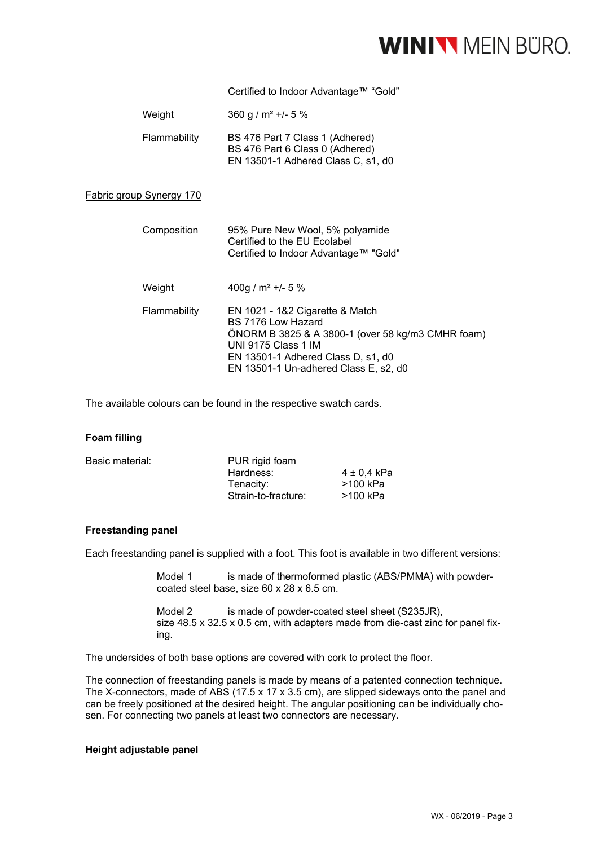### **WINIVY** MEIN BÜRO.

Certified to Indoor Advantage™ "Gold"

| Weight                          | $360 g/m^2$ +/- 5 %                                                                                                                                                                                              |
|---------------------------------|------------------------------------------------------------------------------------------------------------------------------------------------------------------------------------------------------------------|
| Flammability                    | BS 476 Part 7 Class 1 (Adhered)<br>BS 476 Part 6 Class 0 (Adhered)<br>EN 13501-1 Adhered Class C, s1, d0                                                                                                         |
| <b>Fabric group Synergy 170</b> |                                                                                                                                                                                                                  |
| Composition                     | 95% Pure New Wool, 5% polyamide<br>Certified to the EU Ecolabel<br>Certified to Indoor Advantage™ "Gold"                                                                                                         |
| Weight                          | 400g / $m^2$ +/- 5 %                                                                                                                                                                                             |
| Flammability                    | EN 1021 - 1&2 Cigarette & Match<br>BS 7176 Low Hazard<br>ONORM B 3825 & A 3800-1 (over 58 kg/m3 CMHR foam)<br>UNI 9175 Class 1 IM<br>EN 13501-1 Adhered Class D, s1, d0<br>EN 13501-1 Un-adhered Class E, s2, d0 |
|                                 |                                                                                                                                                                                                                  |

The available colours can be found in the respective swatch cards.

### **Foam filling**

| Basic material: | PUR rigid foam      |             |  |
|-----------------|---------------------|-------------|--|
|                 | Hardness:           | 4 ± 0.4 kPa |  |
|                 | Tenacity:           | >100 kPa    |  |
|                 | Strain-to-fracture: | >100 kPa    |  |
|                 |                     |             |  |

### **Freestanding panel**

Each freestanding panel is supplied with a foot. This foot is available in two different versions:

Model 1 is made of thermoformed plastic (ABS/PMMA) with powdercoated steel base, size 60 x 28 x 6.5 cm.

Model 2 is made of powder-coated steel sheet (S235JR), size 48.5 x 32.5 x 0.5 cm, with adapters made from die-cast zinc for panel fixing.

The undersides of both base options are covered with cork to protect the floor.

The connection of freestanding panels is made by means of a patented connection technique. The X-connectors, made of ABS (17.5 x 17 x 3.5 cm), are slipped sideways onto the panel and can be freely positioned at the desired height. The angular positioning can be individually chosen. For connecting two panels at least two connectors are necessary.

### **Height adjustable panel**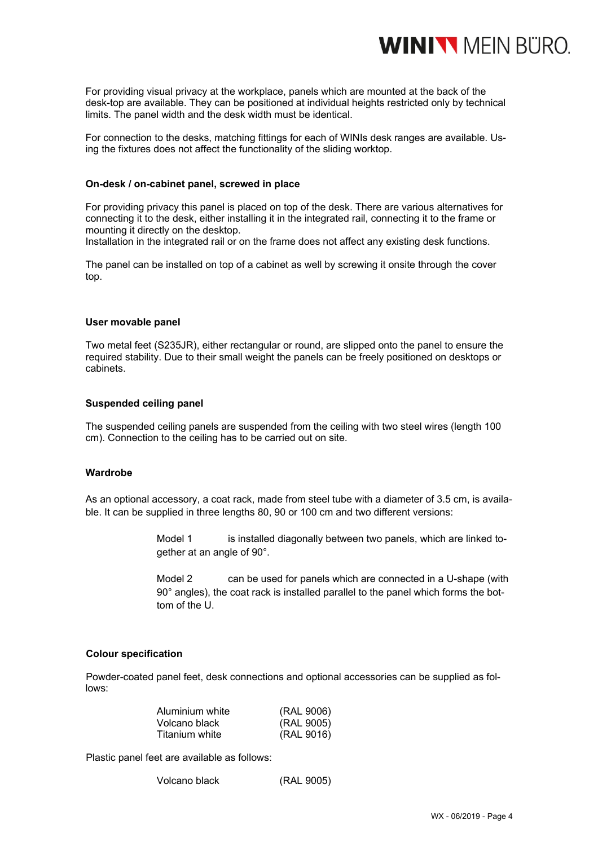

For providing visual privacy at the workplace, panels which are mounted at the back of the desk-top are available. They can be positioned at individual heights restricted only by technical limits. The panel width and the desk width must be identical.

For connection to the desks, matching fittings for each of WINIs desk ranges are available. Using the fixtures does not affect the functionality of the sliding worktop.

### **On-desk / on-cabinet panel, screwed in place**

For providing privacy this panel is placed on top of the desk. There are various alternatives for connecting it to the desk, either installing it in the integrated rail, connecting it to the frame or mounting it directly on the desktop.

Installation in the integrated rail or on the frame does not affect any existing desk functions.

The panel can be installed on top of a cabinet as well by screwing it onsite through the cover top.

#### **User movable panel**

Two metal feet (S235JR), either rectangular or round, are slipped onto the panel to ensure the required stability. Due to their small weight the panels can be freely positioned on desktops or cabinets.

### **Suspended ceiling panel**

The suspended ceiling panels are suspended from the ceiling with two steel wires (length 100 cm). Connection to the ceiling has to be carried out on site.

### **Wardrobe**

As an optional accessory, a coat rack, made from steel tube with a diameter of 3.5 cm, is available. It can be supplied in three lengths 80, 90 or 100 cm and two different versions:

> Model 1 is installed diagonally between two panels, which are linked together at an angle of 90°.

> Model 2 can be used for panels which are connected in a U-shape (with 90° angles), the coat rack is installed parallel to the panel which forms the bottom of the U.

#### **Colour specification**

Powder-coated panel feet, desk connections and optional accessories can be supplied as follows:

| Aluminium white | (RAL 9006) |
|-----------------|------------|
| Volcano black   | (RAL 9005) |
| Titanium white  | (RAL 9016) |

Plastic panel feet are available as follows:

```
 Volcano black (RAL 9005)
```